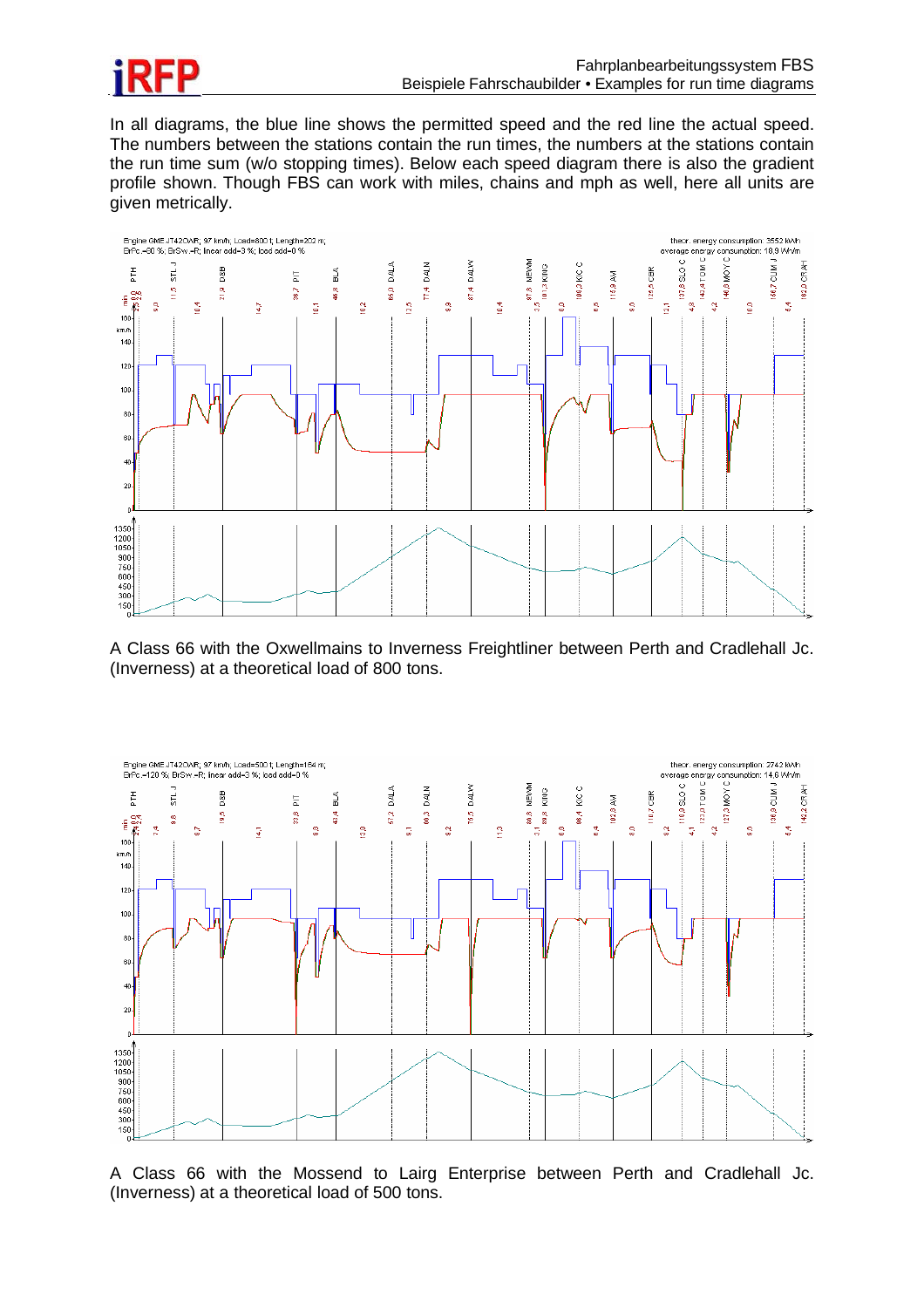

In all diagrams, the blue line shows the permitted speed and the red line the actual speed. The numbers between the stations contain the run times, the numbers at the stations contain the run time sum (w/o stopping times). Below each speed diagram there is also the gradient profile shown. Though FBS can work with miles, chains and mph as well, here all units are given metrically.



A Class 66 with the Oxwellmains to Inverness Freightliner between Perth and Cradlehall Jc. (Inverness) at a theoretical load of 800 tons.



A Class 66 with the Mossend to Lairg Enterprise between Perth and Cradlehall Jc. (Inverness) at a theoretical load of 500 tons.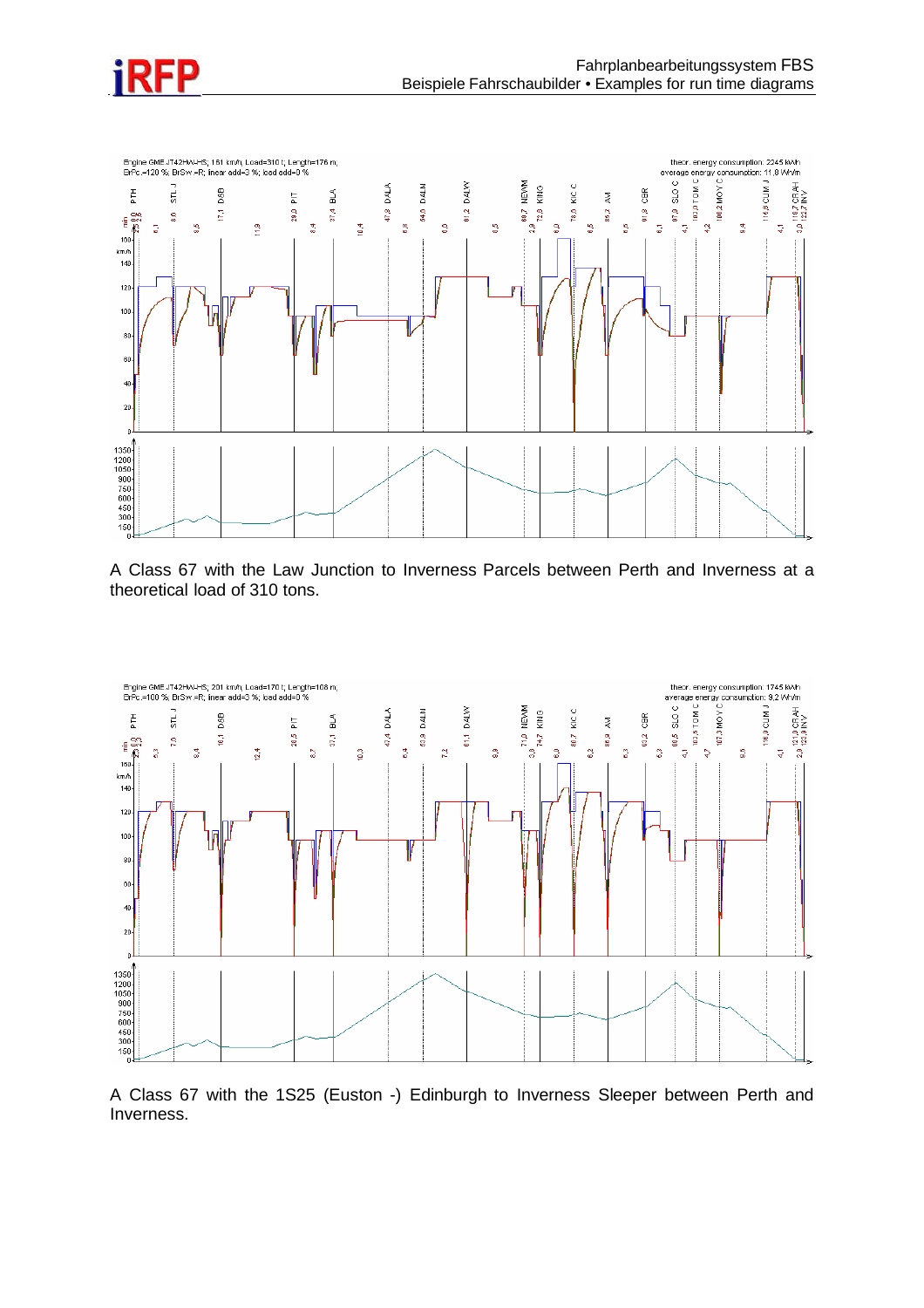



A Class 67 with the Law Junction to Inverness Parcels between Perth and Inverness at a theoretical load of 310 tons.



A Class 67 with the 1S25 (Euston -) Edinburgh to Inverness Sleeper between Perth and Inverness.